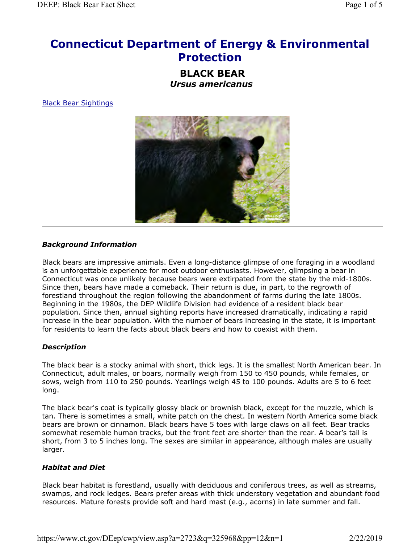# Connecticut Department of Energy & Environmental Protection

BLACK BEAR Ursus americanus

Black Bear Sightings



#### Background Information

Black bears are impressive animals. Even a long-distance glimpse of one foraging in a woodland is an unforgettable experience for most outdoor enthusiasts. However, glimpsing a bear in Connecticut was once unlikely because bears were extirpated from the state by the mid-1800s. Since then, bears have made a comeback. Their return is due, in part, to the regrowth of forestland throughout the region following the abandonment of farms during the late 1800s. Beginning in the 1980s, the DEP Wildlife Division had evidence of a resident black bear population. Since then, annual sighting reports have increased dramatically, indicating a rapid increase in the bear population. With the number of bears increasing in the state, it is important for residents to learn the facts about black bears and how to coexist with them.

# **Description**

The black bear is a stocky animal with short, thick legs. It is the smallest North American bear. In Connecticut, adult males, or boars, normally weigh from 150 to 450 pounds, while females, or sows, weigh from 110 to 250 pounds. Yearlings weigh 45 to 100 pounds. Adults are 5 to 6 feet long.

The black bear's coat is typically glossy black or brownish black, except for the muzzle, which is tan. There is sometimes a small, white patch on the chest. In western North America some black bears are brown or cinnamon. Black bears have 5 toes with large claws on all feet. Bear tracks somewhat resemble human tracks, but the front feet are shorter than the rear. A bear's tail is short, from 3 to 5 inches long. The sexes are similar in appearance, although males are usually larger.

# Habitat and Diet

Black bear habitat is forestland, usually with deciduous and coniferous trees, as well as streams, swamps, and rock ledges. Bears prefer areas with thick understory vegetation and abundant food resources. Mature forests provide soft and hard mast (e.g., acorns) in late summer and fall.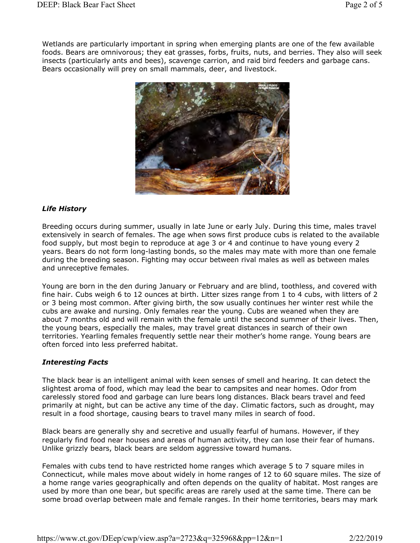Wetlands are particularly important in spring when emerging plants are one of the few available foods. Bears are omnivorous; they eat grasses, forbs, fruits, nuts, and berries. They also will seek insects (particularly ants and bees), scavenge carrion, and raid bird feeders and garbage cans. Bears occasionally will prey on small mammals, deer, and livestock.



# Life History

Breeding occurs during summer, usually in late June or early July. During this time, males travel extensively in search of females. The age when sows first produce cubs is related to the available food supply, but most begin to reproduce at age 3 or 4 and continue to have young every 2 years. Bears do not form long-lasting bonds, so the males may mate with more than one female during the breeding season. Fighting may occur between rival males as well as between males and unreceptive females.

Young are born in the den during January or February and are blind, toothless, and covered with fine hair. Cubs weigh 6 to 12 ounces at birth. Litter sizes range from 1 to 4 cubs, with litters of 2 or 3 being most common. After giving birth, the sow usually continues her winter rest while the cubs are awake and nursing. Only females rear the young. Cubs are weaned when they are about 7 months old and will remain with the female until the second summer of their lives. Then, the young bears, especially the males, may travel great distances in search of their own territories. Yearling females frequently settle near their mother's home range. Young bears are often forced into less preferred habitat.

# Interesting Facts

The black bear is an intelligent animal with keen senses of smell and hearing. It can detect the slightest aroma of food, which may lead the bear to campsites and near homes. Odor from carelessly stored food and garbage can lure bears long distances. Black bears travel and feed primarily at night, but can be active any time of the day. Climatic factors, such as drought, may result in a food shortage, causing bears to travel many miles in search of food.

Black bears are generally shy and secretive and usually fearful of humans. However, if they regularly find food near houses and areas of human activity, they can lose their fear of humans. Unlike grizzly bears, black bears are seldom aggressive toward humans.

Females with cubs tend to have restricted home ranges which average 5 to 7 square miles in Connecticut, while males move about widely in home ranges of 12 to 60 square miles. The size of a home range varies geographically and often depends on the quality of habitat. Most ranges are used by more than one bear, but specific areas are rarely used at the same time. There can be some broad overlap between male and female ranges. In their home territories, bears may mark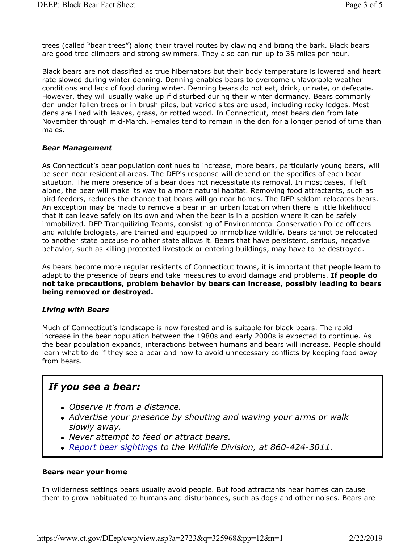trees (called "bear trees") along their travel routes by clawing and biting the bark. Black bears are good tree climbers and strong swimmers. They also can run up to 35 miles per hour.

Black bears are not classified as true hibernators but their body temperature is lowered and heart rate slowed during winter denning. Denning enables bears to overcome unfavorable weather conditions and lack of food during winter. Denning bears do not eat, drink, urinate, or defecate. However, they will usually wake up if disturbed during their winter dormancy. Bears commonly den under fallen trees or in brush piles, but varied sites are used, including rocky ledges. Most dens are lined with leaves, grass, or rotted wood. In Connecticut, most bears den from late November through mid-March. Females tend to remain in the den for a longer period of time than males.

#### Bear Management

As Connecticut's bear population continues to increase, more bears, particularly young bears, will be seen near residential areas. The DEP's response will depend on the specifics of each bear situation. The mere presence of a bear does not necessitate its removal. In most cases, if left alone, the bear will make its way to a more natural habitat. Removing food attractants, such as bird feeders, reduces the chance that bears will go near homes. The DEP seldom relocates bears. An exception may be made to remove a bear in an urban location when there is little likelihood that it can leave safely on its own and when the bear is in a position where it can be safely immobilized. DEP Tranquilizing Teams, consisting of Environmental Conservation Police officers and wildlife biologists, are trained and equipped to immobilize wildlife. Bears cannot be relocated to another state because no other state allows it. Bears that have persistent, serious, negative behavior, such as killing protected livestock or entering buildings, may have to be destroyed.

As bears become more regular residents of Connecticut towns, it is important that people learn to adapt to the presence of bears and take measures to avoid damage and problems. If people do not take precautions, problem behavior by bears can increase, possibly leading to bears being removed or destroyed.

#### Living with Bears

Much of Connecticut's landscape is now forested and is suitable for black bears. The rapid increase in the bear population between the 1980s and early 2000s is expected to continue. As the bear population expands, interactions between humans and bears will increase. People should learn what to do if they see a bear and how to avoid unnecessary conflicts by keeping food away from bears.

# If you see a bear:

- Observe it from a distance.
- Advertise your presence by shouting and waving your arms or walk slowly away.
- Never attempt to feed or attract bears.
- Report bear sightings to the Wildlife Division, at 860-424-3011.

#### Bears near your home

In wilderness settings bears usually avoid people. But food attractants near homes can cause them to grow habituated to humans and disturbances, such as dogs and other noises. Bears are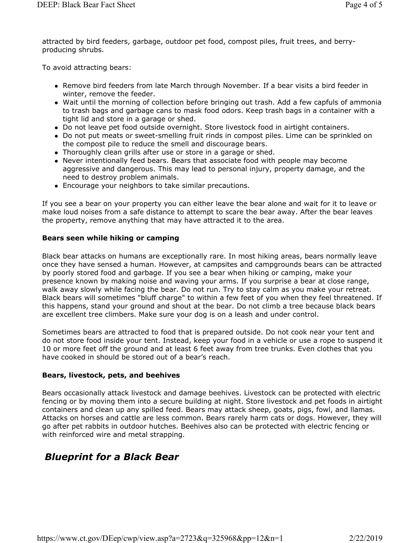attracted by bird feeders, garbage, outdoor pet food, compost piles, fruit trees, and berryproducing shrubs.

To avoid attracting bears:

- Remove bird feeders from late March through November. If a bear visits a bird feeder in winter, remove the feeder.
- Wait until the morning of collection before bringing out trash. Add a few capfuls of ammonia to trash bags and garbage cans to mask food odors. Keep trash bags in a container with a tight lid and store in a garage or shed.
- Do not leave pet food outside overnight. Store livestock food in airtight containers.
- Do not put meats or sweet-smelling fruit rinds in compost piles. Lime can be sprinkled on the compost pile to reduce the smell and discourage bears.
- Thoroughly clean grills after use or store in a garage or shed.
- Never intentionally feed bears. Bears that associate food with people may become aggressive and dangerous. This may lead to personal injury, property damage, and the need to destroy problem animals.
- Encourage your neighbors to take similar precautions.

If you see a bear on your property you can either leave the bear alone and wait for it to leave or make loud noises from a safe distance to attempt to scare the bear away. After the bear leaves the property, remove anything that may have attracted it to the area.

#### Bears seen while hiking or camping

Black bear attacks on humans are exceptionally rare. In most hiking areas, bears normally leave once they have sensed a human. However, at campsites and campgrounds bears can be attracted by poorly stored food and garbage. If you see a bear when hiking or camping, make your presence known by making noise and waving your arms. If you surprise a bear at close range, walk away slowly while facing the bear. Do not run. Try to stay calm as you make your retreat. Black bears will sometimes "bluff charge" to within a few feet of you when they feel threatened. If this happens, stand your ground and shout at the bear. Do not climb a tree because black bears are excellent tree climbers. Make sure your dog is on a leash and under control.

Sometimes bears are attracted to food that is prepared outside. Do not cook near your tent and do not store food inside your tent. Instead, keep your food in a vehicle or use a rope to suspend it 10 or more feet off the ground and at least 6 feet away from tree trunks. Even clothes that you have cooked in should be stored out of a bear's reach.

# Bears, livestock, pets, and beehives

Bears occasionally attack livestock and damage beehives. Livestock can be protected with electric fencing or by moving them into a secure building at night. Store livestock and pet foods in airtight containers and clean up any spilled feed. Bears may attack sheep, goats, pigs, fowl, and llamas. Attacks on horses and cattle are less common. Bears rarely harm cats or dogs. However, they will go after pet rabbits in outdoor hutches. Beehives also can be protected with electric fencing or with reinforced wire and metal strapping.

# Blueprint for a Black Bear